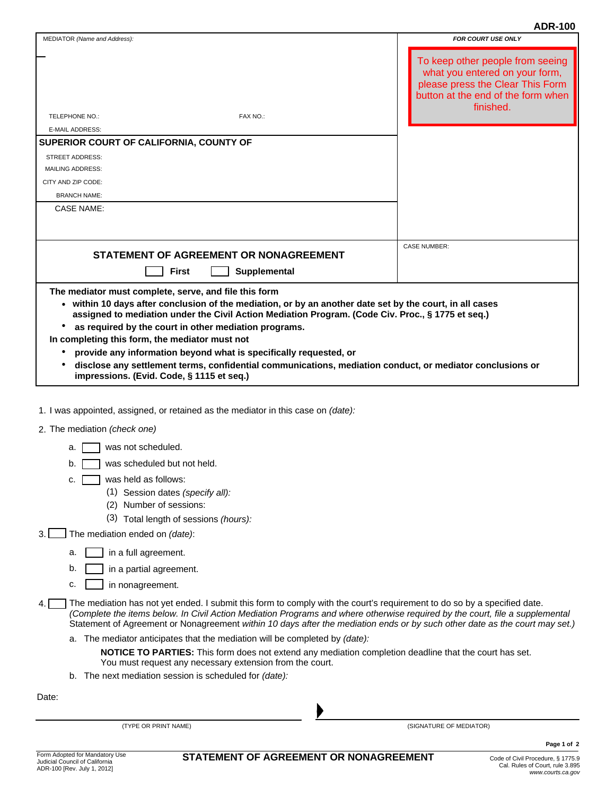## **ADR-100**

| MEDIATOR (Name and Address):                                                                                                                                                                                                                                                                                                                                                            | FOR COURT USE ONLY                 |  |  |  |
|-----------------------------------------------------------------------------------------------------------------------------------------------------------------------------------------------------------------------------------------------------------------------------------------------------------------------------------------------------------------------------------------|------------------------------------|--|--|--|
|                                                                                                                                                                                                                                                                                                                                                                                         | To keep other people from seeing   |  |  |  |
|                                                                                                                                                                                                                                                                                                                                                                                         | what you entered on your form,     |  |  |  |
|                                                                                                                                                                                                                                                                                                                                                                                         | please press the Clear This Form   |  |  |  |
|                                                                                                                                                                                                                                                                                                                                                                                         | button at the end of the form when |  |  |  |
| TELEPHONE NO.:<br>FAX NO.:                                                                                                                                                                                                                                                                                                                                                              | finished.                          |  |  |  |
| <b>E-MAIL ADDRESS:</b>                                                                                                                                                                                                                                                                                                                                                                  |                                    |  |  |  |
| SUPERIOR COURT OF CALIFORNIA, COUNTY OF                                                                                                                                                                                                                                                                                                                                                 |                                    |  |  |  |
| <b>STREET ADDRESS:</b>                                                                                                                                                                                                                                                                                                                                                                  |                                    |  |  |  |
| <b>MAILING ADDRESS:</b>                                                                                                                                                                                                                                                                                                                                                                 |                                    |  |  |  |
| CITY AND ZIP CODE:                                                                                                                                                                                                                                                                                                                                                                      |                                    |  |  |  |
| <b>BRANCH NAME:</b>                                                                                                                                                                                                                                                                                                                                                                     |                                    |  |  |  |
| <b>CASE NAME:</b>                                                                                                                                                                                                                                                                                                                                                                       |                                    |  |  |  |
|                                                                                                                                                                                                                                                                                                                                                                                         |                                    |  |  |  |
|                                                                                                                                                                                                                                                                                                                                                                                         | <b>CASE NUMBER:</b>                |  |  |  |
| STATEMENT OF AGREEMENT OR NONAGREEMENT                                                                                                                                                                                                                                                                                                                                                  |                                    |  |  |  |
| First<br>Supplemental                                                                                                                                                                                                                                                                                                                                                                   |                                    |  |  |  |
| The mediator must complete, serve, and file this form                                                                                                                                                                                                                                                                                                                                   |                                    |  |  |  |
| • within 10 days after conclusion of the mediation, or by an another date set by the court, in all cases                                                                                                                                                                                                                                                                                |                                    |  |  |  |
| assigned to mediation under the Civil Action Mediation Program. (Code Civ. Proc., § 1775 et seq.)                                                                                                                                                                                                                                                                                       |                                    |  |  |  |
| as required by the court in other mediation programs.                                                                                                                                                                                                                                                                                                                                   |                                    |  |  |  |
| In completing this form, the mediator must not                                                                                                                                                                                                                                                                                                                                          |                                    |  |  |  |
| provide any information beyond what is specifically requested, or<br>disclose any settlement terms, confidential communications, mediation conduct, or mediator conclusions or                                                                                                                                                                                                          |                                    |  |  |  |
| impressions. (Evid. Code, § 1115 et seq.)                                                                                                                                                                                                                                                                                                                                               |                                    |  |  |  |
|                                                                                                                                                                                                                                                                                                                                                                                         |                                    |  |  |  |
| 1. I was appointed, assigned, or retained as the mediator in this case on (date):                                                                                                                                                                                                                                                                                                       |                                    |  |  |  |
| 2. The mediation (check one)                                                                                                                                                                                                                                                                                                                                                            |                                    |  |  |  |
| was not scheduled.<br>а.                                                                                                                                                                                                                                                                                                                                                                |                                    |  |  |  |
| was scheduled but not held.<br>b.                                                                                                                                                                                                                                                                                                                                                       |                                    |  |  |  |
| was held as follows:<br>C.                                                                                                                                                                                                                                                                                                                                                              |                                    |  |  |  |
| (1) Session dates (specify all):                                                                                                                                                                                                                                                                                                                                                        |                                    |  |  |  |
| (2) Number of sessions:                                                                                                                                                                                                                                                                                                                                                                 |                                    |  |  |  |
| (3) Total length of sessions (hours):                                                                                                                                                                                                                                                                                                                                                   |                                    |  |  |  |
| The mediation ended on (date):<br>3. I                                                                                                                                                                                                                                                                                                                                                  |                                    |  |  |  |
| in a full agreement.<br>а.                                                                                                                                                                                                                                                                                                                                                              |                                    |  |  |  |
| b.<br>in a partial agreement.                                                                                                                                                                                                                                                                                                                                                           |                                    |  |  |  |
| c.<br>in nonagreement.                                                                                                                                                                                                                                                                                                                                                                  |                                    |  |  |  |
| The mediation has not yet ended. I submit this form to comply with the court's requirement to do so by a specified date.<br>(Complete the items below. In Civil Action Mediation Programs and where otherwise required by the court, file a supplemental<br>Statement of Agreement or Nonagreement within 10 days after the mediation ends or by such other date as the court may set.) |                                    |  |  |  |
| a. The mediator anticipates that the mediation will be completed by (date):                                                                                                                                                                                                                                                                                                             |                                    |  |  |  |
| NOTICE TO PARTIES: This form does not extend any mediation completion deadline that the court has set.<br>You must request any necessary extension from the court.                                                                                                                                                                                                                      |                                    |  |  |  |
| b. The next mediation session is scheduled for (date):                                                                                                                                                                                                                                                                                                                                  |                                    |  |  |  |
| Date:                                                                                                                                                                                                                                                                                                                                                                                   |                                    |  |  |  |
|                                                                                                                                                                                                                                                                                                                                                                                         |                                    |  |  |  |

(TYPE OR PRINT NAME) (SIGNATURE OF MEDIATOR)

**Page 1 of 2**